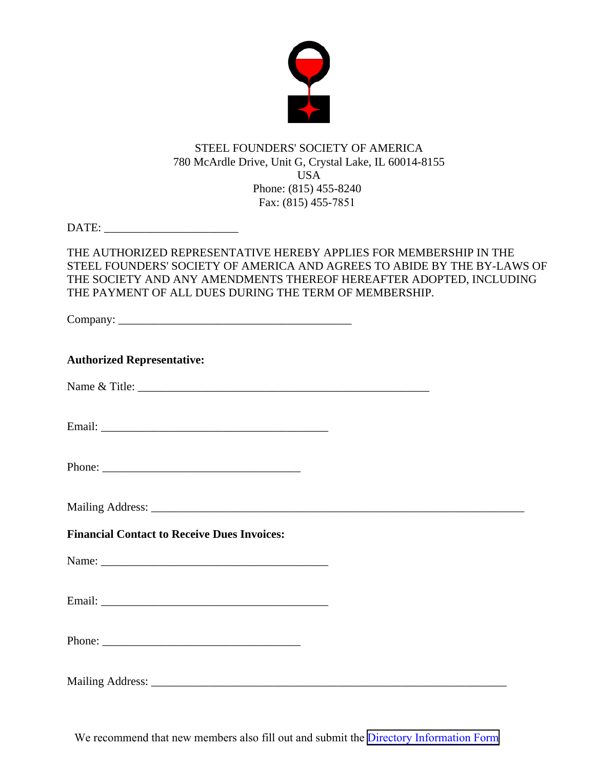

# STEEL FOUNDERS' SOCIETY OF AMERICA 780 McArdle Drive, Unit G, Crystal Lake, IL 60014-8155 USA Phone: (815) 455-8240 Fax: (815) 455-7851

DATE: \_\_\_\_\_\_\_\_\_\_\_\_\_\_\_\_\_\_\_\_\_\_\_

# THE AUTHORIZED REPRESENTATIVE HEREBY APPLIES FOR MEMBERSHIP IN THE STEEL FOUNDERS' SOCIETY OF AMERICA AND AGREES TO ABIDE BY THE BY-LAWS OF THE SOCIETY AND ANY AMENDMENTS THEREOF HEREAFTER ADOPTED, INCLUDING THE PAYMENT OF ALL DUES DURING THE TERM OF MEMBERSHIP.

Company: \_\_\_\_\_\_\_\_\_\_\_\_\_\_\_\_\_\_\_\_\_\_\_\_\_\_\_\_\_\_\_\_\_\_\_\_\_\_\_\_

| <b>Authorized Representative:</b>                  |  |
|----------------------------------------------------|--|
|                                                    |  |
|                                                    |  |
|                                                    |  |
|                                                    |  |
| <b>Financial Contact to Receive Dues Invoices:</b> |  |
|                                                    |  |
|                                                    |  |
|                                                    |  |
|                                                    |  |

We recommend that new members also fill out and submit the [Directory Information Form](https://www.sfsa.org/doc/Directory%20Form.pdf)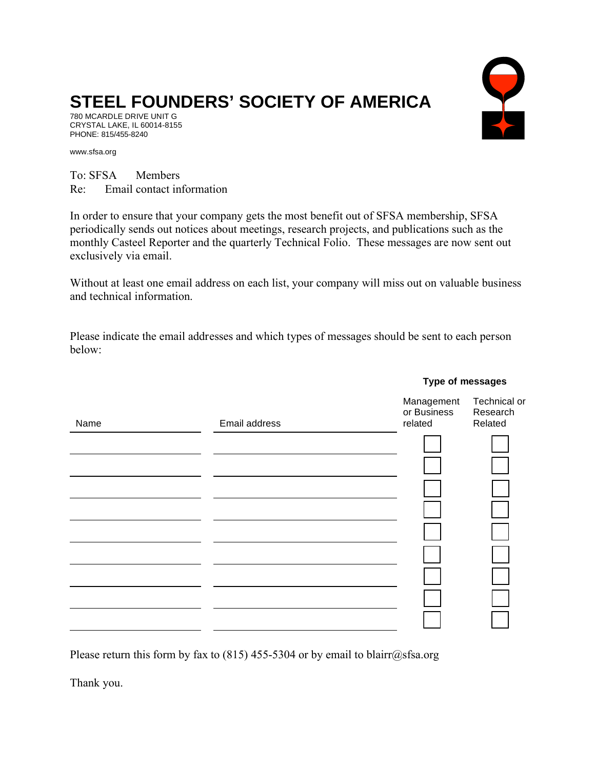# **STEEL FOUNDERS' SOCIETY OF AMERICA**

780 MCARDLE DRIVE UNIT G CRYSTAL LAKE, IL 60014-8155 PHONE: 815/455-8240

www.sfsa.org

To: SFSA Members Re: Email contact information

In order to ensure that your company gets the most benefit out of SFSA membership, SFSA periodically sends out notices about meetings, research projects, and publications such as the monthly Casteel Reporter and the quarterly Technical Folio. These messages are now sent out exclusively via email.

Without at least one email address on each list, your company will miss out on valuable business and technical information.

Please indicate the email addresses and which types of messages should be sent to each person below:

| Name | Email address | Management<br>or Business<br>related | Technical or<br>Research<br>Related |
|------|---------------|--------------------------------------|-------------------------------------|
|      |               |                                      |                                     |
|      |               |                                      |                                     |
|      |               |                                      |                                     |
|      |               |                                      |                                     |
|      |               |                                      |                                     |
|      |               |                                      |                                     |
|      |               |                                      |                                     |
|      |               |                                      |                                     |
|      |               |                                      |                                     |

Please return this form by fax to (815) 455-5304 or by email to blairr@sfsa.org

Thank you.

#### **Type of messages**

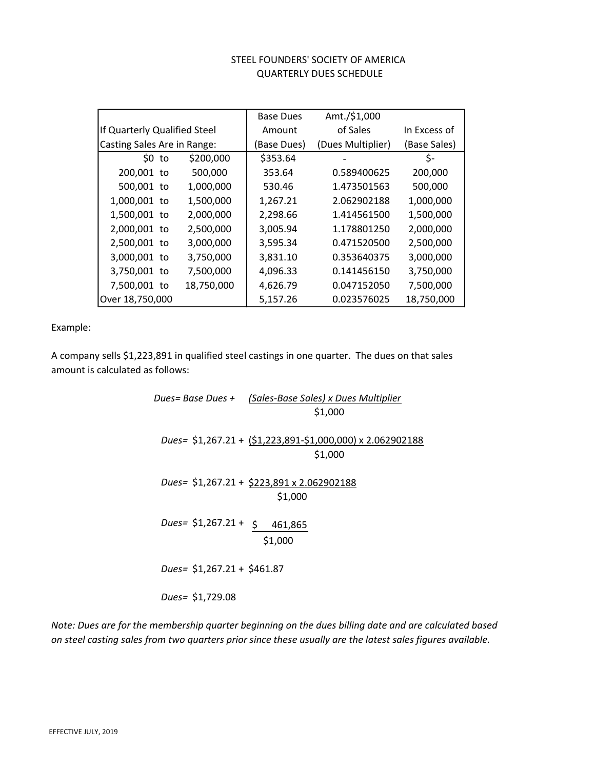#### QUARTERLY DUES SCHEDULE STEEL FOUNDERS' SOCIETY OF AMERICA

|                              |            | <b>Base Dues</b> | Amt./\$1,000      |              |
|------------------------------|------------|------------------|-------------------|--------------|
| If Quarterly Qualified Steel |            | Amount           | of Sales          | In Excess of |
| Casting Sales Are in Range:  |            | (Base Dues)      | (Dues Multiplier) | (Base Sales) |
| \$0 <sub>to</sub>            | \$200,000  | \$353.64         |                   | \$-          |
| 200,001 to                   | 500,000    | 353.64           | 0.589400625       | 200,000      |
| 500,001 to                   | 1,000,000  | 530.46           | 1.473501563       | 500,000      |
| 1,000,001 to                 | 1,500,000  | 1,267.21         | 2.062902188       | 1,000,000    |
| 1,500,001 to                 | 2,000,000  | 2,298.66         | 1.414561500       | 1,500,000    |
| 2,000,001 to                 | 2,500,000  | 3,005.94         | 1.178801250       | 2,000,000    |
| 2,500,001 to                 | 3,000,000  | 3,595.34         | 0.471520500       | 2,500,000    |
| 3,000,001 to                 | 3,750,000  | 3,831.10         | 0.353640375       | 3,000,000    |
| 3,750,001 to                 | 7,500,000  | 4,096.33         | 0.141456150       | 3,750,000    |
| 7,500,001 to                 | 18,750,000 | 4,626.79         | 0.047152050       | 7,500,000    |
| Over 18,750,000              |            | 5,157.26         | 0.023576025       | 18,750,000   |

Example:

A company sells \$1,223,891 in qualified steel castings in one quarter. The dues on that sales amount is calculated as follows:

> Dues= Base Dues + (Sales-Base Sales) x Dues Multiplier \$1,000 Dues= \$1,267.21 + (\$1,223,891-\$1,000,000) x 2.062902188 \$1,000 Dues= \$1,267.21 + \$223,891 x 2.062902188 \$1,000 Dues=  $$1,267.21 + $461,865$ \$1,000 Dues= \$1,267.21 + \$461.87 Dues= \$1,729.08

Note: Dues are for the membership quarter beginning on the dues billing date and are calculated based on steel casting sales from two quarters prior since these usually are the latest sales figures available.